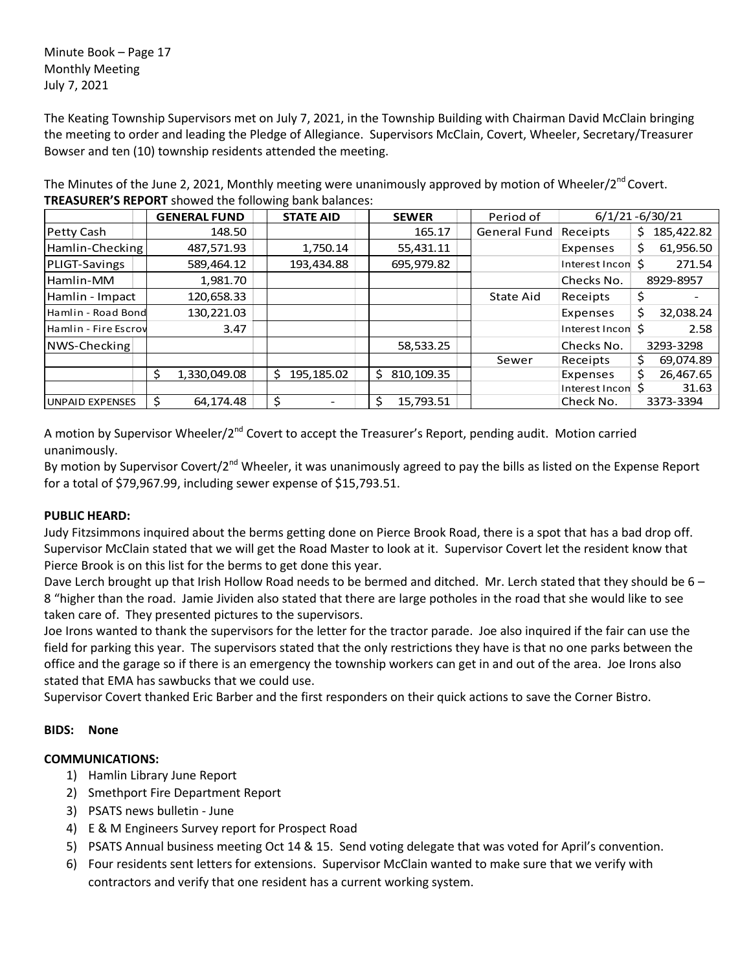Minute Book – Page 17 Monthly Meeting July 7, 2021

The Keating Township Supervisors met on July 7, 2021, in the Township Building with Chairman David McClain bringing the meeting to order and leading the Pledge of Allegiance. Supervisors McClain, Covert, Wheeler, Secretary/Treasurer Bowser and ten (10) township residents attended the meeting.

The Minutes of the June 2, 2021, Monthly meeting were unanimously approved by motion of Wheeler/2<sup>nd</sup> Covert. **TREASURER'S REPORT** showed the following bank balances:

|                        | <b>GENERAL FUND</b> |    | <b>STATE AID</b><br><b>SEWER</b> |  | Period of        |                     | $6/1/21 - 6/30/21$ |    |            |
|------------------------|---------------------|----|----------------------------------|--|------------------|---------------------|--------------------|----|------------|
| Petty Cash             | 148.50              |    |                                  |  | 165.17           | <b>General Fund</b> | Receipts           | S. | 185,422.82 |
| Hamlin-Checking        | 487,571.93          |    | 1,750.14                         |  | 55,431.11        |                     | Expenses           | Ś. | 61,956.50  |
| PLIGT-Savings          | 589,464.12          |    | 193,434.88                       |  | 695,979.82       |                     | Interest Incon S   |    | 271.54     |
| Hamlin-MM              | 1,981.70            |    |                                  |  |                  |                     | Checks No.         |    | 8929-8957  |
| Hamlin - Impact        | 120,658.33          |    |                                  |  |                  | State Aid           | Receipts           | \$ |            |
| Hamlin - Road Bond     | 130,221.03          |    |                                  |  |                  |                     | Expenses           | Ś. | 32,038.24  |
| Hamlin - Fire Escrov   | 3.47                |    |                                  |  |                  |                     | Interest Incon \$  |    | 2.58       |
| NWS-Checking           |                     |    |                                  |  | 58,533.25        |                     | Checks No.         |    | 3293-3298  |
|                        |                     |    |                                  |  |                  | Sewer               | Receipts           | Ś. | 69,074.89  |
|                        | \$<br>1,330,049.08  | Ś. | 195,185.02                       |  | 810,109.35<br>Ś. |                     | Expenses           | Ś. | 26,467.65  |
|                        |                     |    |                                  |  |                  |                     | Interest Incon S   |    | 31.63      |
| <b>UNPAID EXPENSES</b> | 64,174.48           |    |                                  |  | 15,793.51<br>\$  |                     | Check No.          |    | 3373-3394  |

A motion by Supervisor Wheeler/2<sup>nd</sup> Covert to accept the Treasurer's Report, pending audit. Motion carried unanimously.

By motion by Supervisor Covert/2<sup>nd</sup> Wheeler, it was unanimously agreed to pay the bills as listed on the Expense Report for a total of \$79,967.99, including sewer expense of \$15,793.51.

# **PUBLIC HEARD:**

Judy Fitzsimmons inquired about the berms getting done on Pierce Brook Road, there is a spot that has a bad drop off. Supervisor McClain stated that we will get the Road Master to look at it. Supervisor Covert let the resident know that Pierce Brook is on this list for the berms to get done this year.

Dave Lerch brought up that Irish Hollow Road needs to be bermed and ditched. Mr. Lerch stated that they should be 6 – 8 "higher than the road. Jamie Jividen also stated that there are large potholes in the road that she would like to see taken care of. They presented pictures to the supervisors.

Joe Irons wanted to thank the supervisors for the letter for the tractor parade. Joe also inquired if the fair can use the field for parking this year. The supervisors stated that the only restrictions they have is that no one parks between the office and the garage so if there is an emergency the township workers can get in and out of the area. Joe Irons also stated that EMA has sawbucks that we could use.

Supervisor Covert thanked Eric Barber and the first responders on their quick actions to save the Corner Bistro.

## **BIDS: None**

## **COMMUNICATIONS:**

- 1) Hamlin Library June Report
- 2) Smethport Fire Department Report
- 3) PSATS news bulletin June
- 4) E & M Engineers Survey report for Prospect Road
- 5) PSATS Annual business meeting Oct 14 & 15. Send voting delegate that was voted for April's convention.
- 6) Four residents sent letters for extensions. Supervisor McClain wanted to make sure that we verify with contractors and verify that one resident has a current working system.